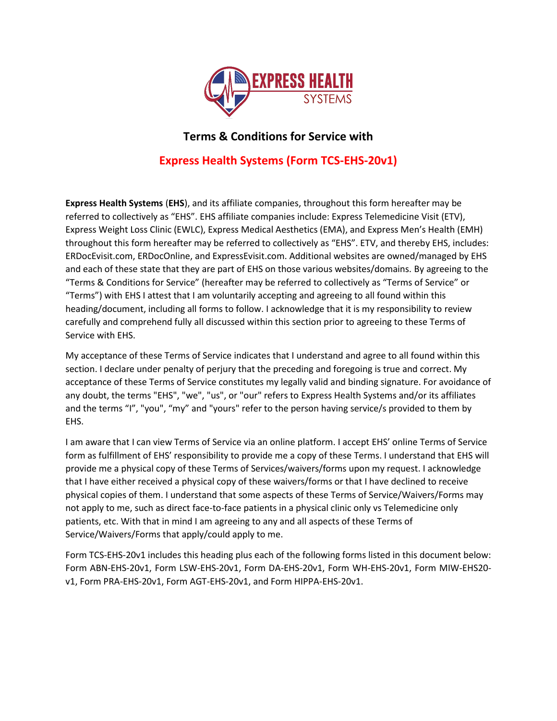

### **Terms & Conditions for Service with**

# **Express Health Systems (Form TCS-EHS-20v1)**

**Express Health Systems** (**EHS**), and its affiliate companies, throughout this form hereafter may be referred to collectively as "EHS". EHS affiliate companies include: Express Telemedicine Visit (ETV), Express Weight Loss Clinic (EWLC), Express Medical Aesthetics (EMA), and Express Men's Health (EMH) throughout this form hereafter may be referred to collectively as "EHS". ETV, and thereby EHS, includes: ERDocEvisit.com, ERDocOnline, and ExpressEvisit.com. Additional websites are owned/managed by EHS and each of these state that they are part of EHS on those various websites/domains. By agreeing to the "Terms & Conditions for Service" (hereafter may be referred to collectively as "Terms of Service" or "Terms") with EHS I attest that I am voluntarily accepting and agreeing to all found within this heading/document, including all forms to follow. I acknowledge that it is my responsibility to review carefully and comprehend fully all discussed within this section prior to agreeing to these Terms of Service with EHS.

My acceptance of these Terms of Service indicates that I understand and agree to all found within this section. I declare under penalty of perjury that the preceding and foregoing is true and correct. My acceptance of these Terms of Service constitutes my legally valid and binding signature. For avoidance of any doubt, the terms "EHS", "we", "us", or "our" refers to Express Health Systems and/or its affiliates and the terms "I", "you", "my" and "yours" refer to the person having service/s provided to them by EHS.

I am aware that I can view Terms of Service via an online platform. I accept EHS' online Terms of Service form as fulfillment of EHS' responsibility to provide me a copy of these Terms. I understand that EHS will provide me a physical copy of these Terms of Services/waivers/forms upon my request. I acknowledge that I have either received a physical copy of these waivers/forms or that I have declined to receive physical copies of them. I understand that some aspects of these Terms of Service/Waivers/Forms may not apply to me, such as direct face-to-face patients in a physical clinic only vs Telemedicine only patients, etc. With that in mind I am agreeing to any and all aspects of these Terms of Service/Waivers/Forms that apply/could apply to me.

Form TCS-EHS-20v1 includes this heading plus each of the following forms listed in this document below: Form ABN-EHS-20v1, Form LSW-EHS-20v1, Form DA-EHS-20v1, Form WH-EHS-20v1, Form MIW-EHS20 v1, Form PRA-EHS-20v1, Form AGT-EHS-20v1, and Form HIPPA-EHS-20v1.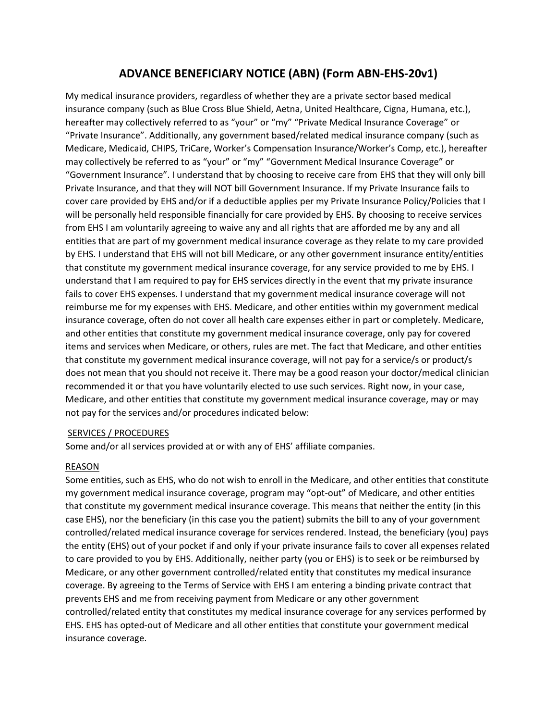### **ADVANCE BENEFICIARY NOTICE (ABN) (Form ABN-EHS-20v1)**

My medical insurance providers, regardless of whether they are a private sector based medical insurance company (such as Blue Cross Blue Shield, Aetna, United Healthcare, Cigna, Humana, etc.), hereafter may collectively referred to as "your" or "my" "Private Medical Insurance Coverage" or "Private Insurance". Additionally, any government based/related medical insurance company (such as Medicare, Medicaid, CHIPS, TriCare, Worker's Compensation Insurance/Worker's Comp, etc.), hereafter may collectively be referred to as "your" or "my" "Government Medical Insurance Coverage" or "Government Insurance". I understand that by choosing to receive care from EHS that they will only bill Private Insurance, and that they will NOT bill Government Insurance. If my Private Insurance fails to cover care provided by EHS and/or if a deductible applies per my Private Insurance Policy/Policies that I will be personally held responsible financially for care provided by EHS. By choosing to receive services from EHS I am voluntarily agreeing to waive any and all rights that are afforded me by any and all entities that are part of my government medical insurance coverage as they relate to my care provided by EHS. I understand that EHS will not bill Medicare, or any other government insurance entity/entities that constitute my government medical insurance coverage, for any service provided to me by EHS. I understand that I am required to pay for EHS services directly in the event that my private insurance fails to cover EHS expenses. I understand that my government medical insurance coverage will not reimburse me for my expenses with EHS. Medicare, and other entities within my government medical insurance coverage, often do not cover all health care expenses either in part or completely. Medicare, and other entities that constitute my government medical insurance coverage, only pay for covered items and services when Medicare, or others, rules are met. The fact that Medicare, and other entities that constitute my government medical insurance coverage, will not pay for a service/s or product/s does not mean that you should not receive it. There may be a good reason your doctor/medical clinician recommended it or that you have voluntarily elected to use such services. Right now, in your case, Medicare, and other entities that constitute my government medical insurance coverage, may or may not pay for the services and/or procedures indicated below:

### SERVICES / PROCEDURES

Some and/or all services provided at or with any of EHS' affiliate companies.

### REASON

Some entities, such as EHS, who do not wish to enroll in the Medicare, and other entities that constitute my government medical insurance coverage, program may "opt-out" of Medicare, and other entities that constitute my government medical insurance coverage. This means that neither the entity (in this case EHS), nor the beneficiary (in this case you the patient) submits the bill to any of your government controlled/related medical insurance coverage for services rendered. Instead, the beneficiary (you) pays the entity (EHS) out of your pocket if and only if your private insurance fails to cover all expenses related to care provided to you by EHS. Additionally, neither party (you or EHS) is to seek or be reimbursed by Medicare, or any other government controlled/related entity that constitutes my medical insurance coverage. By agreeing to the Terms of Service with EHS I am entering a binding private contract that prevents EHS and me from receiving payment from Medicare or any other government controlled/related entity that constitutes my medical insurance coverage for any services performed by EHS. EHS has opted-out of Medicare and all other entities that constitute your government medical insurance coverage.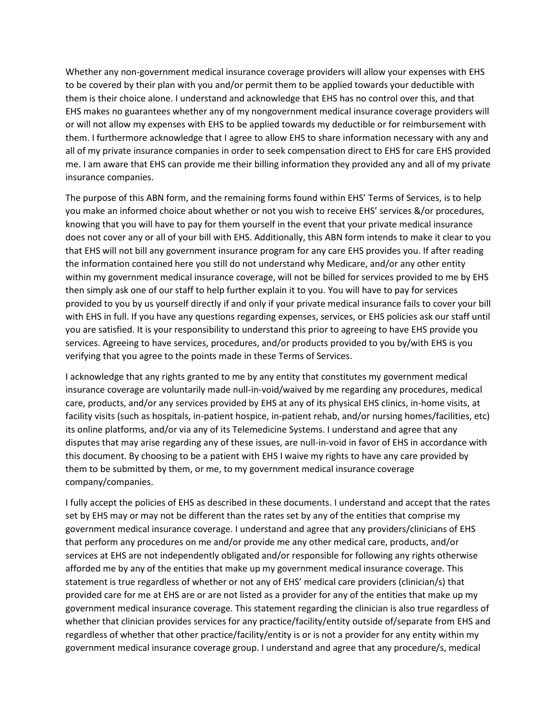Whether any non-government medical insurance coverage providers will allow your expenses with EHS to be covered by their plan with you and/or permit them to be applied towards your deductible with them is their choice alone. I understand and acknowledge that EHS has no control over this, and that EHS makes no guarantees whether any of my nongovernment medical insurance coverage providers will or will not allow my expenses with EHS to be applied towards my deductible or for reimbursement with them. I furthermore acknowledge that I agree to allow EHS to share information necessary with any and all of my private insurance companies in order to seek compensation direct to EHS for care EHS provided me. I am aware that EHS can provide me their billing information they provided any and all of my private insurance companies.

The purpose of this ABN form, and the remaining forms found within EHS' Terms of Services, is to help you make an informed choice about whether or not you wish to receive EHS' services &/or procedures, knowing that you will have to pay for them yourself in the event that your private medical insurance does not cover any or all of your bill with EHS. Additionally, this ABN form intends to make it clear to you that EHS will not bill any government insurance program for any care EHS provides you. If after reading the information contained here you still do not understand why Medicare, and/or any other entity within my government medical insurance coverage, will not be billed for services provided to me by EHS then simply ask one of our staff to help further explain it to you. You will have to pay for services provided to you by us yourself directly if and only if your private medical insurance fails to cover your bill with EHS in full. If you have any questions regarding expenses, services, or EHS policies ask our staff until you are satisfied. It is your responsibility to understand this prior to agreeing to have EHS provide you services. Agreeing to have services, procedures, and/or products provided to you by/with EHS is you verifying that you agree to the points made in these Terms of Services.

I acknowledge that any rights granted to me by any entity that constitutes my government medical insurance coverage are voluntarily made null-in-void/waived by me regarding any procedures, medical care, products, and/or any services provided by EHS at any of its physical EHS clinics, in-home visits, at facility visits (such as hospitals, in-patient hospice, in-patient rehab, and/or nursing homes/facilities, etc) its online platforms, and/or via any of its Telemedicine Systems. I understand and agree that any disputes that may arise regarding any of these issues, are null-in-void in favor of EHS in accordance with this document. By choosing to be a patient with EHS I waive my rights to have any care provided by them to be submitted by them, or me, to my government medical insurance coverage company/companies.

I fully accept the policies of EHS as described in these documents. I understand and accept that the rates set by EHS may or may not be different than the rates set by any of the entities that comprise my government medical insurance coverage. I understand and agree that any providers/clinicians of EHS that perform any procedures on me and/or provide me any other medical care, products, and/or services at EHS are not independently obligated and/or responsible for following any rights otherwise afforded me by any of the entities that make up my government medical insurance coverage. This statement is true regardless of whether or not any of EHS' medical care providers (clinician/s) that provided care for me at EHS are or are not listed as a provider for any of the entities that make up my government medical insurance coverage. This statement regarding the clinician is also true regardless of whether that clinician provides services for any practice/facility/entity outside of/separate from EHS and regardless of whether that other practice/facility/entity is or is not a provider for any entity within my government medical insurance coverage group. I understand and agree that any procedure/s, medical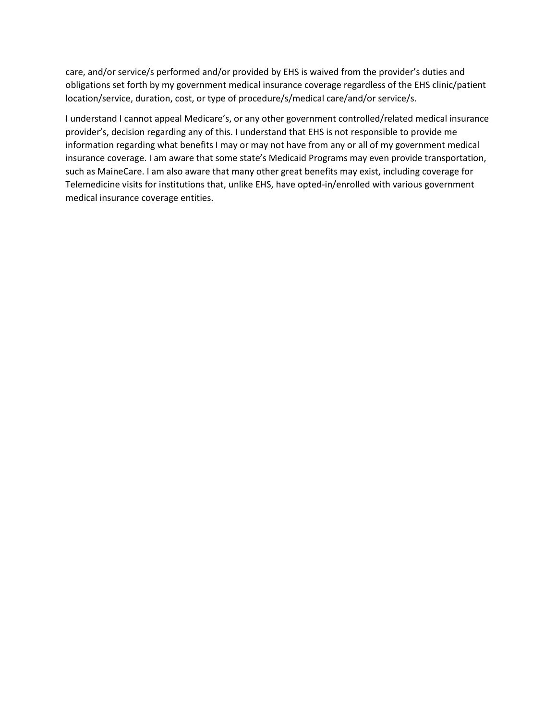care, and/or service/s performed and/or provided by EHS is waived from the provider's duties and obligations set forth by my government medical insurance coverage regardless of the EHS clinic/patient location/service, duration, cost, or type of procedure/s/medical care/and/or service/s.

I understand I cannot appeal Medicare's, or any other government controlled/related medical insurance provider's, decision regarding any of this. I understand that EHS is not responsible to provide me information regarding what benefits I may or may not have from any or all of my government medical insurance coverage. I am aware that some state's Medicaid Programs may even provide transportation, such as MaineCare. I am also aware that many other great benefits may exist, including coverage for Telemedicine visits for institutions that, unlike EHS, have opted-in/enrolled with various government medical insurance coverage entities.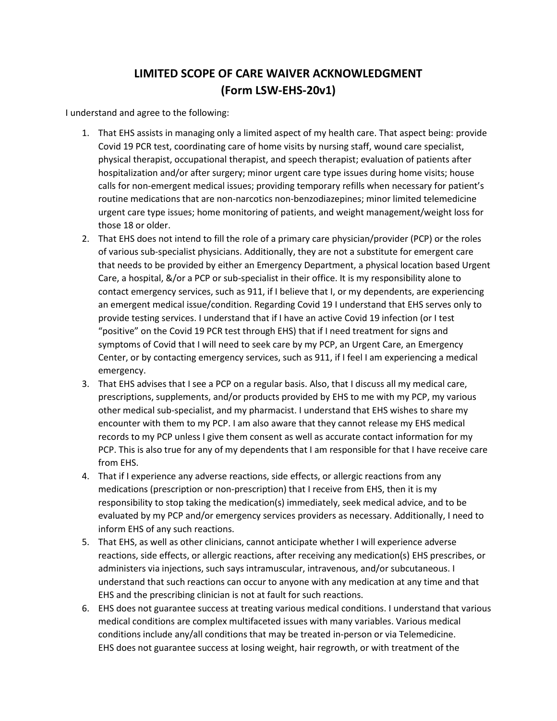# **LIMITED SCOPE OF CARE WAIVER ACKNOWLEDGMENT (Form LSW-EHS-20v1)**

I understand and agree to the following:

- 1. That EHS assists in managing only a limited aspect of my health care. That aspect being: provide Covid 19 PCR test, coordinating care of home visits by nursing staff, wound care specialist, physical therapist, occupational therapist, and speech therapist; evaluation of patients after hospitalization and/or after surgery; minor urgent care type issues during home visits; house calls for non-emergent medical issues; providing temporary refills when necessary for patient's routine medications that are non-narcotics non-benzodiazepines; minor limited telemedicine urgent care type issues; home monitoring of patients, and weight management/weight loss for those 18 or older.
- 2. That EHS does not intend to fill the role of a primary care physician/provider (PCP) or the roles of various sub-specialist physicians. Additionally, they are not a substitute for emergent care that needs to be provided by either an Emergency Department, a physical location based Urgent Care, a hospital, &/or a PCP or sub-specialist in their office. It is my responsibility alone to contact emergency services, such as 911, if I believe that I, or my dependents, are experiencing an emergent medical issue/condition. Regarding Covid 19 I understand that EHS serves only to provide testing services. I understand that if I have an active Covid 19 infection (or I test "positive" on the Covid 19 PCR test through EHS) that if I need treatment for signs and symptoms of Covid that I will need to seek care by my PCP, an Urgent Care, an Emergency Center, or by contacting emergency services, such as 911, if I feel I am experiencing a medical emergency.
- 3. That EHS advises that I see a PCP on a regular basis. Also, that I discuss all my medical care, prescriptions, supplements, and/or products provided by EHS to me with my PCP, my various other medical sub-specialist, and my pharmacist. I understand that EHS wishes to share my encounter with them to my PCP. I am also aware that they cannot release my EHS medical records to my PCP unless I give them consent as well as accurate contact information for my PCP. This is also true for any of my dependents that I am responsible for that I have receive care from EHS.
- 4. That if I experience any adverse reactions, side effects, or allergic reactions from any medications (prescription or non-prescription) that I receive from EHS, then it is my responsibility to stop taking the medication(s) immediately, seek medical advice, and to be evaluated by my PCP and/or emergency services providers as necessary. Additionally, I need to inform EHS of any such reactions.
- 5. That EHS, as well as other clinicians, cannot anticipate whether I will experience adverse reactions, side effects, or allergic reactions, after receiving any medication(s) EHS prescribes, or administers via injections, such says intramuscular, intravenous, and/or subcutaneous. I understand that such reactions can occur to anyone with any medication at any time and that EHS and the prescribing clinician is not at fault for such reactions.
- 6. EHS does not guarantee success at treating various medical conditions. I understand that various medical conditions are complex multifaceted issues with many variables. Various medical conditions include any/all conditions that may be treated in-person or via Telemedicine. EHS does not guarantee success at losing weight, hair regrowth, or with treatment of the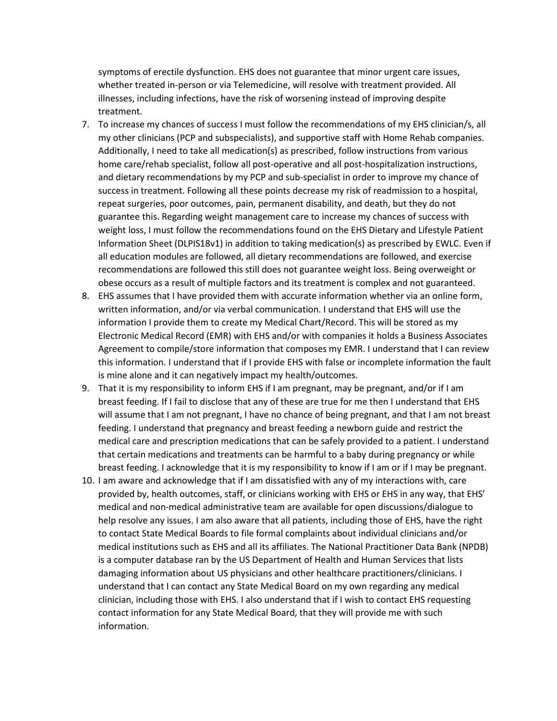symptoms of erectile dysfunction. EHS does not guarantee that minor urgent care issues, whether treated in-person or via Telemedicine, will resolve with treatment provided. All illnesses, including infections, have the risk of worsening instead of improving despite treatment.

- 7. To increase my chances of success I must follow the recommendations of my EHS clinician/s, all my other clinicians (PCP and subspecialists), and supportive staff with Home Rehab companies. Additionally, I need to take all medication(s) as prescribed, follow instructions from various home care/rehab specialist, follow all post-operative and all post-hospitalization instructions, and dietary recommendations by my PCP and sub-specialist in order to improve my chance of success in treatment. Following all these points decrease my risk of readmission to a hospital, repeat surgeries, poor outcomes, pain, permanent disability, and death, but they do not guarantee this. Regarding weight management care to increase my chances of success with weight loss, I must follow the recommendations found on the EHS Dietary and Lifestyle Patient Information Sheet (DLPIS18v1) in addition to taking medication(s) as prescribed by EWLC. Even if all education modules are followed, all dietary recommendations are followed, and exercise recommendations are followed this still does not guarantee weight loss. Being overweight or obese occurs as a result of multiple factors and its treatment is complex and not guaranteed.
- 8. EHS assumes that I have provided them with accurate information whether via an online form, written information, and/or via verbal communication. I understand that EHS will use the information I provide them to create my Medical Chart/Record. This will be stored as my Electronic Medical Record (EMR) with EHS and/or with companies it holds a Business Associates Agreement to compile/store information that composes my EMR. I understand that I can review this information. I understand that if I provide EHS with false or incomplete information the fault is mine alone and it can negatively impact my health/outcomes.
- 9. That it is my responsibility to inform EHS if I am pregnant, may be pregnant, and/or if I am breast feeding. If I fail to disclose that any of these are true for me then I understand that EHS will assume that I am not pregnant, I have no chance of being pregnant, and that I am not breast feeding. I understand that pregnancy and breast feeding a newborn guide and restrict the medical care and prescription medications that can be safely provided to a patient. I understand that certain medications and treatments can be harmful to a baby during pregnancy or while breast feeding. I acknowledge that it is my responsibility to know if I am or if I may be pregnant.
- 10. I am aware and acknowledge that if I am dissatisfied with any of my interactions with, care provided by, health outcomes, staff, or clinicians working with EHS or EHS in any way, that EHS' medical and non-medical administrative team are available for open discussions/dialogue to help resolve any issues. I am also aware that all patients, including those of EHS, have the right to contact State Medical Boards to file formal complaints about individual clinicians and/or medical institutions such as EHS and all its affiliates. The National Practitioner Data Bank (NPDB) is a computer database ran by the US Department of Health and Human Services that lists damaging information about US physicians and other healthcare practitioners/clinicians. I understand that I can contact any State Medical Board on my own regarding any medical clinician, including those with EHS. I also understand that if I wish to contact EHS requesting contact information for any State Medical Board, that they will provide me with such information.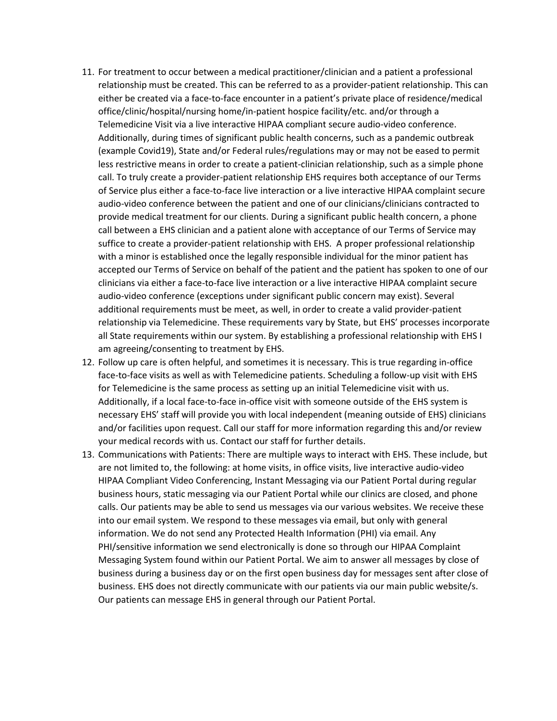- 11. For treatment to occur between a medical practitioner/clinician and a patient a professional relationship must be created. This can be referred to as a provider-patient relationship. This can either be created via a face-to-face encounter in a patient's private place of residence/medical office/clinic/hospital/nursing home/in-patient hospice facility/etc. and/or through a Telemedicine Visit via a live interactive HIPAA compliant secure audio-video conference. Additionally, during times of significant public health concerns, such as a pandemic outbreak (example Covid19), State and/or Federal rules/regulations may or may not be eased to permit less restrictive means in order to create a patient-clinician relationship, such as a simple phone call. To truly create a provider-patient relationship EHS requires both acceptance of our Terms of Service plus either a face-to-face live interaction or a live interactive HIPAA complaint secure audio-video conference between the patient and one of our clinicians/clinicians contracted to provide medical treatment for our clients. During a significant public health concern, a phone call between a EHS clinician and a patient alone with acceptance of our Terms of Service may suffice to create a provider-patient relationship with EHS. A proper professional relationship with a minor is established once the legally responsible individual for the minor patient has accepted our Terms of Service on behalf of the patient and the patient has spoken to one of our clinicians via either a face-to-face live interaction or a live interactive HIPAA complaint secure audio-video conference (exceptions under significant public concern may exist). Several additional requirements must be meet, as well, in order to create a valid provider-patient relationship via Telemedicine. These requirements vary by State, but EHS' processes incorporate all State requirements within our system. By establishing a professional relationship with EHS I am agreeing/consenting to treatment by EHS.
- 12. Follow up care is often helpful, and sometimes it is necessary. This is true regarding in-office face-to-face visits as well as with Telemedicine patients. Scheduling a follow-up visit with EHS for Telemedicine is the same process as setting up an initial Telemedicine visit with us. Additionally, if a local face-to-face in-office visit with someone outside of the EHS system is necessary EHS' staff will provide you with local independent (meaning outside of EHS) clinicians and/or facilities upon request. Call our staff for more information regarding this and/or review your medical records with us. Contact our staff for further details.
- 13. Communications with Patients: There are multiple ways to interact with EHS. These include, but are not limited to, the following: at home visits, in office visits, live interactive audio-video HIPAA Compliant Video Conferencing, Instant Messaging via our Patient Portal during regular business hours, static messaging via our Patient Portal while our clinics are closed, and phone calls. Our patients may be able to send us messages via our various websites. We receive these into our email system. We respond to these messages via email, but only with general information. We do not send any Protected Health Information (PHI) via email. Any PHI/sensitive information we send electronically is done so through our HIPAA Complaint Messaging System found within our Patient Portal. We aim to answer all messages by close of business during a business day or on the first open business day for messages sent after close of business. EHS does not directly communicate with our patients via our main public website/s. Our patients can message EHS in general through our Patient Portal.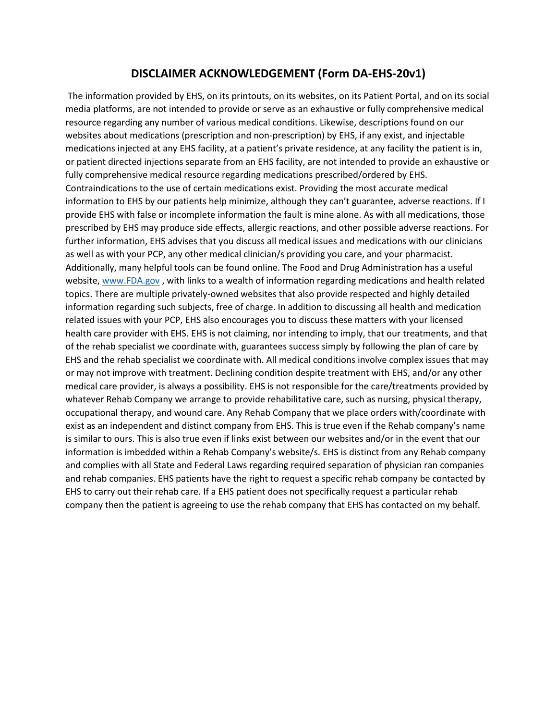### **DISCLAIMER ACKNOWLEDGEMENT (Form DA-EHS-20v1)**

The information provided by EHS, on its printouts, on its websites, on its Patient Portal, and on its social media platforms, are not intended to provide or serve as an exhaustive or fully comprehensive medical resource regarding any number of various medical conditions. Likewise, descriptions found on our websites about medications (prescription and non-prescription) by EHS, if any exist, and injectable medications injected at any EHS facility, at a patient's private residence, at any facility the patient is in, or patient directed injections separate from an EHS facility, are not intended to provide an exhaustive or fully comprehensive medical resource regarding medications prescribed/ordered by EHS. Contraindications to the use of certain medications exist. Providing the most accurate medical information to EHS by our patients help minimize, although they can't guarantee, adverse reactions. If I provide EHS with false or incomplete information the fault is mine alone. As with all medications, those prescribed by EHS may produce side effects, allergic reactions, and other possible adverse reactions. For further information, EHS advises that you discuss all medical issues and medications with our clinicians as well as with your PCP, any other medical clinician/s providing you care, and your pharmacist. Additionally, many helpful tools can be found online. The Food and Drug Administration has a useful website, [www.FDA.gov](http://www.fda.gov/), with links to a wealth of information regarding medications and health related topics. There are multiple privately-owned websites that also provide respected and highly detailed information regarding such subjects, free of charge. In addition to discussing all health and medication related issues with your PCP, EHS also encourages you to discuss these matters with your licensed health care provider with EHS. EHS is not claiming, nor intending to imply, that our treatments, and that of the rehab specialist we coordinate with, guarantees success simply by following the plan of care by EHS and the rehab specialist we coordinate with. All medical conditions involve complex issues that may or may not improve with treatment. Declining condition despite treatment with EHS, and/or any other medical care provider, is always a possibility. EHS is not responsible for the care/treatments provided by whatever Rehab Company we arrange to provide rehabilitative care, such as nursing, physical therapy, occupational therapy, and wound care. Any Rehab Company that we place orders with/coordinate with exist as an independent and distinct company from EHS. This is true even if the Rehab company's name is similar to ours. This is also true even if links exist between our websites and/or in the event that our information is imbedded within a Rehab Company's website/s. EHS is distinct from any Rehab company and complies with all State and Federal Laws regarding required separation of physician ran companies and rehab companies. EHS patients have the right to request a specific rehab company be contacted by EHS to carry out their rehab care. If a EHS patient does not specifically request a particular rehab company then the patient is agreeing to use the rehab company that EHS has contacted on my behalf.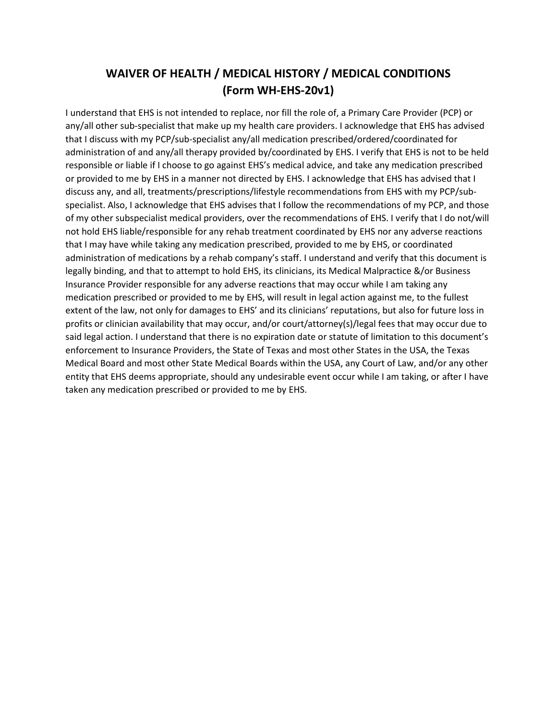# **WAIVER OF HEALTH / MEDICAL HISTORY / MEDICAL CONDITIONS (Form WH-EHS-20v1)**

I understand that EHS is not intended to replace, nor fill the role of, a Primary Care Provider (PCP) or any/all other sub-specialist that make up my health care providers. I acknowledge that EHS has advised that I discuss with my PCP/sub-specialist any/all medication prescribed/ordered/coordinated for administration of and any/all therapy provided by/coordinated by EHS. I verify that EHS is not to be held responsible or liable if I choose to go against EHS's medical advice, and take any medication prescribed or provided to me by EHS in a manner not directed by EHS. I acknowledge that EHS has advised that I discuss any, and all, treatments/prescriptions/lifestyle recommendations from EHS with my PCP/subspecialist. Also, I acknowledge that EHS advises that I follow the recommendations of my PCP, and those of my other subspecialist medical providers, over the recommendations of EHS. I verify that I do not/will not hold EHS liable/responsible for any rehab treatment coordinated by EHS nor any adverse reactions that I may have while taking any medication prescribed, provided to me by EHS, or coordinated administration of medications by a rehab company's staff. I understand and verify that this document is legally binding, and that to attempt to hold EHS, its clinicians, its Medical Malpractice &/or Business Insurance Provider responsible for any adverse reactions that may occur while I am taking any medication prescribed or provided to me by EHS, will result in legal action against me, to the fullest extent of the law, not only for damages to EHS' and its clinicians' reputations, but also for future loss in profits or clinician availability that may occur, and/or court/attorney(s)/legal fees that may occur due to said legal action. I understand that there is no expiration date or statute of limitation to this document's enforcement to Insurance Providers, the State of Texas and most other States in the USA, the Texas Medical Board and most other State Medical Boards within the USA, any Court of Law, and/or any other entity that EHS deems appropriate, should any undesirable event occur while I am taking, or after I have taken any medication prescribed or provided to me by EHS.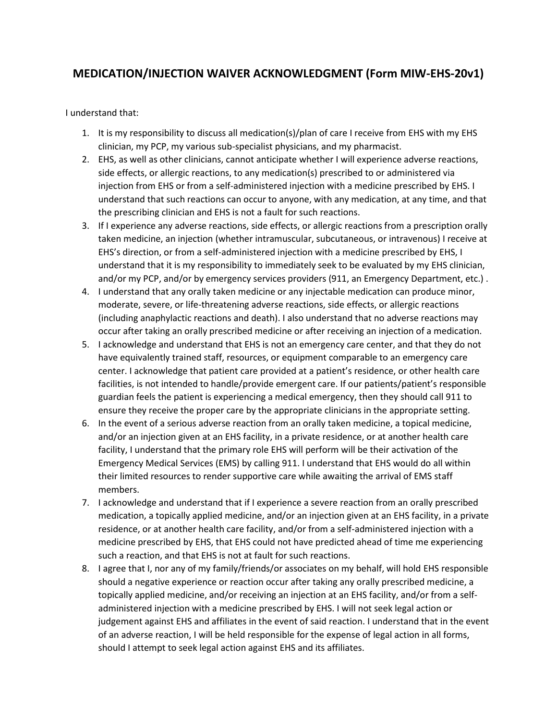## **MEDICATION/INJECTION WAIVER ACKNOWLEDGMENT (Form MIW-EHS-20v1)**

I understand that:

- 1. It is my responsibility to discuss all medication(s)/plan of care I receive from EHS with my EHS clinician, my PCP, my various sub-specialist physicians, and my pharmacist.
- 2. EHS, as well as other clinicians, cannot anticipate whether I will experience adverse reactions, side effects, or allergic reactions, to any medication(s) prescribed to or administered via injection from EHS or from a self-administered injection with a medicine prescribed by EHS. I understand that such reactions can occur to anyone, with any medication, at any time, and that the prescribing clinician and EHS is not a fault for such reactions.
- 3. If I experience any adverse reactions, side effects, or allergic reactions from a prescription orally taken medicine, an injection (whether intramuscular, subcutaneous, or intravenous) I receive at EHS's direction, or from a self-administered injection with a medicine prescribed by EHS, I understand that it is my responsibility to immediately seek to be evaluated by my EHS clinician, and/or my PCP, and/or by emergency services providers (911, an Emergency Department, etc.) .
- 4. I understand that any orally taken medicine or any injectable medication can produce minor, moderate, severe, or life-threatening adverse reactions, side effects, or allergic reactions (including anaphylactic reactions and death). I also understand that no adverse reactions may occur after taking an orally prescribed medicine or after receiving an injection of a medication.
- 5. I acknowledge and understand that EHS is not an emergency care center, and that they do not have equivalently trained staff, resources, or equipment comparable to an emergency care center. I acknowledge that patient care provided at a patient's residence, or other health care facilities, is not intended to handle/provide emergent care. If our patients/patient's responsible guardian feels the patient is experiencing a medical emergency, then they should call 911 to ensure they receive the proper care by the appropriate clinicians in the appropriate setting.
- 6. In the event of a serious adverse reaction from an orally taken medicine, a topical medicine, and/or an injection given at an EHS facility, in a private residence, or at another health care facility, I understand that the primary role EHS will perform will be their activation of the Emergency Medical Services (EMS) by calling 911. I understand that EHS would do all within their limited resources to render supportive care while awaiting the arrival of EMS staff members.
- 7. I acknowledge and understand that if I experience a severe reaction from an orally prescribed medication, a topically applied medicine, and/or an injection given at an EHS facility, in a private residence, or at another health care facility, and/or from a self-administered injection with a medicine prescribed by EHS, that EHS could not have predicted ahead of time me experiencing such a reaction, and that EHS is not at fault for such reactions.
- 8. I agree that I, nor any of my family/friends/or associates on my behalf, will hold EHS responsible should a negative experience or reaction occur after taking any orally prescribed medicine, a topically applied medicine, and/or receiving an injection at an EHS facility, and/or from a selfadministered injection with a medicine prescribed by EHS. I will not seek legal action or judgement against EHS and affiliates in the event of said reaction. I understand that in the event of an adverse reaction, I will be held responsible for the expense of legal action in all forms, should I attempt to seek legal action against EHS and its affiliates.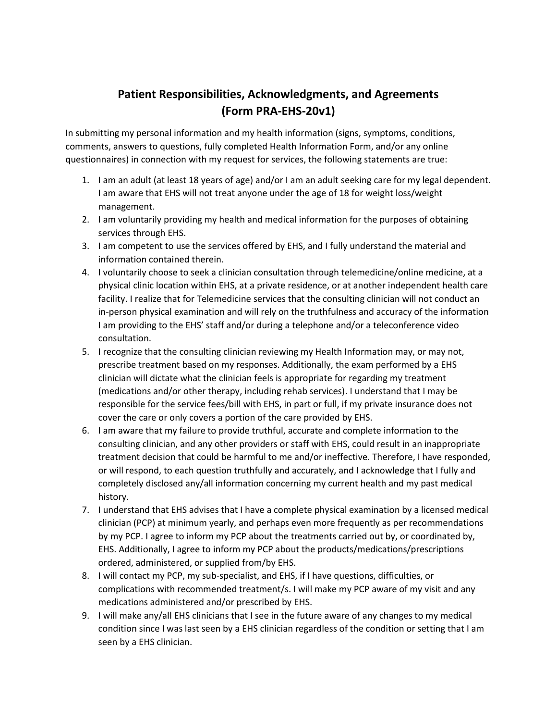# **Patient Responsibilities, Acknowledgments, and Agreements (Form PRA-EHS-20v1)**

In submitting my personal information and my health information (signs, symptoms, conditions, comments, answers to questions, fully completed Health Information Form, and/or any online questionnaires) in connection with my request for services, the following statements are true:

- 1. I am an adult (at least 18 years of age) and/or I am an adult seeking care for my legal dependent. I am aware that EHS will not treat anyone under the age of 18 for weight loss/weight management.
- 2. I am voluntarily providing my health and medical information for the purposes of obtaining services through EHS.
- 3. I am competent to use the services offered by EHS, and I fully understand the material and information contained therein.
- 4. I voluntarily choose to seek a clinician consultation through telemedicine/online medicine, at a physical clinic location within EHS, at a private residence, or at another independent health care facility. I realize that for Telemedicine services that the consulting clinician will not conduct an in-person physical examination and will rely on the truthfulness and accuracy of the information I am providing to the EHS' staff and/or during a telephone and/or a teleconference video consultation.
- 5. I recognize that the consulting clinician reviewing my Health Information may, or may not, prescribe treatment based on my responses. Additionally, the exam performed by a EHS clinician will dictate what the clinician feels is appropriate for regarding my treatment (medications and/or other therapy, including rehab services). I understand that I may be responsible for the service fees/bill with EHS, in part or full, if my private insurance does not cover the care or only covers a portion of the care provided by EHS.
- 6. I am aware that my failure to provide truthful, accurate and complete information to the consulting clinician, and any other providers or staff with EHS, could result in an inappropriate treatment decision that could be harmful to me and/or ineffective. Therefore, I have responded, or will respond, to each question truthfully and accurately, and I acknowledge that I fully and completely disclosed any/all information concerning my current health and my past medical history.
- 7. I understand that EHS advises that I have a complete physical examination by a licensed medical clinician (PCP) at minimum yearly, and perhaps even more frequently as per recommendations by my PCP. I agree to inform my PCP about the treatments carried out by, or coordinated by, EHS. Additionally, I agree to inform my PCP about the products/medications/prescriptions ordered, administered, or supplied from/by EHS.
- 8. I will contact my PCP, my sub-specialist, and EHS, if I have questions, difficulties, or complications with recommended treatment/s. I will make my PCP aware of my visit and any medications administered and/or prescribed by EHS.
- 9. I will make any/all EHS clinicians that I see in the future aware of any changes to my medical condition since I was last seen by a EHS clinician regardless of the condition or setting that I am seen by a EHS clinician.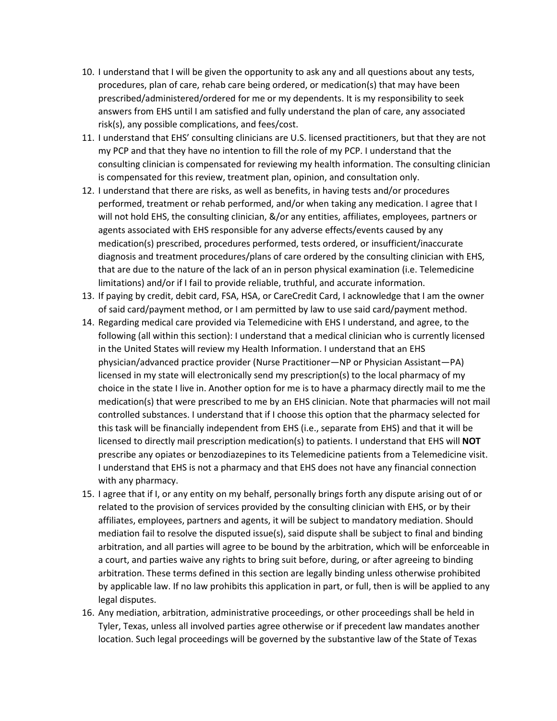- 10. I understand that I will be given the opportunity to ask any and all questions about any tests, procedures, plan of care, rehab care being ordered, or medication(s) that may have been prescribed/administered/ordered for me or my dependents. It is my responsibility to seek answers from EHS until I am satisfied and fully understand the plan of care, any associated risk(s), any possible complications, and fees/cost.
- 11. I understand that EHS' consulting clinicians are U.S. licensed practitioners, but that they are not my PCP and that they have no intention to fill the role of my PCP. I understand that the consulting clinician is compensated for reviewing my health information. The consulting clinician is compensated for this review, treatment plan, opinion, and consultation only.
- 12. I understand that there are risks, as well as benefits, in having tests and/or procedures performed, treatment or rehab performed, and/or when taking any medication. I agree that I will not hold EHS, the consulting clinician, &/or any entities, affiliates, employees, partners or agents associated with EHS responsible for any adverse effects/events caused by any medication(s) prescribed, procedures performed, tests ordered, or insufficient/inaccurate diagnosis and treatment procedures/plans of care ordered by the consulting clinician with EHS, that are due to the nature of the lack of an in person physical examination (i.e. Telemedicine limitations) and/or if I fail to provide reliable, truthful, and accurate information.
- 13. If paying by credit, debit card, FSA, HSA, or CareCredit Card, I acknowledge that I am the owner of said card/payment method, or I am permitted by law to use said card/payment method.
- 14. Regarding medical care provided via Telemedicine with EHS I understand, and agree, to the following (all within this section): I understand that a medical clinician who is currently licensed in the United States will review my Health Information. I understand that an EHS physician/advanced practice provider (Nurse Practitioner—NP or Physician Assistant—PA) licensed in my state will electronically send my prescription(s) to the local pharmacy of my choice in the state I live in. Another option for me is to have a pharmacy directly mail to me the medication(s) that were prescribed to me by an EHS clinician. Note that pharmacies will not mail controlled substances. I understand that if I choose this option that the pharmacy selected for this task will be financially independent from EHS (i.e., separate from EHS) and that it will be licensed to directly mail prescription medication(s) to patients. I understand that EHS will **NOT** prescribe any opiates or benzodiazepines to its Telemedicine patients from a Telemedicine visit. I understand that EHS is not a pharmacy and that EHS does not have any financial connection with any pharmacy.
- 15. I agree that if I, or any entity on my behalf, personally brings forth any dispute arising out of or related to the provision of services provided by the consulting clinician with EHS, or by their affiliates, employees, partners and agents, it will be subject to mandatory mediation. Should mediation fail to resolve the disputed issue(s), said dispute shall be subject to final and binding arbitration, and all parties will agree to be bound by the arbitration, which will be enforceable in a court, and parties waive any rights to bring suit before, during, or after agreeing to binding arbitration. These terms defined in this section are legally binding unless otherwise prohibited by applicable law. If no law prohibits this application in part, or full, then is will be applied to any legal disputes.
- 16. Any mediation, arbitration, administrative proceedings, or other proceedings shall be held in Tyler, Texas, unless all involved parties agree otherwise or if precedent law mandates another location. Such legal proceedings will be governed by the substantive law of the State of Texas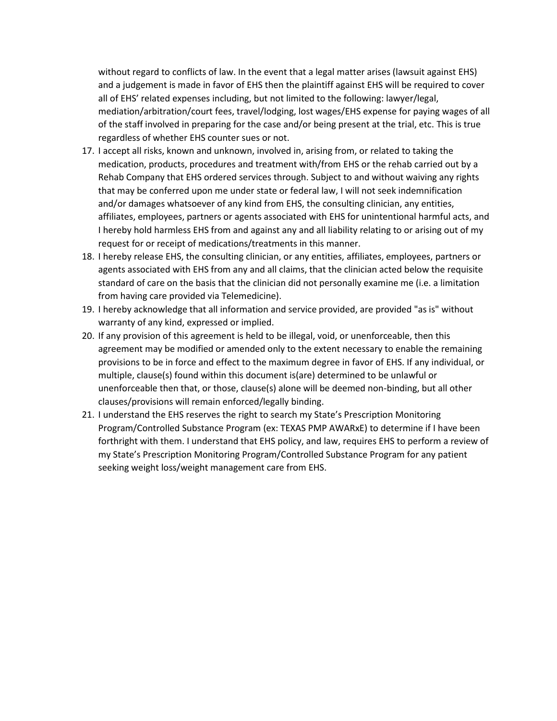without regard to conflicts of law. In the event that a legal matter arises (lawsuit against EHS) and a judgement is made in favor of EHS then the plaintiff against EHS will be required to cover all of EHS' related expenses including, but not limited to the following: lawyer/legal, mediation/arbitration/court fees, travel/lodging, lost wages/EHS expense for paying wages of all of the staff involved in preparing for the case and/or being present at the trial, etc. This is true regardless of whether EHS counter sues or not.

- 17. I accept all risks, known and unknown, involved in, arising from, or related to taking the medication, products, procedures and treatment with/from EHS or the rehab carried out by a Rehab Company that EHS ordered services through. Subject to and without waiving any rights that may be conferred upon me under state or federal law, I will not seek indemnification and/or damages whatsoever of any kind from EHS, the consulting clinician, any entities, affiliates, employees, partners or agents associated with EHS for unintentional harmful acts, and I hereby hold harmless EHS from and against any and all liability relating to or arising out of my request for or receipt of medications/treatments in this manner.
- 18. I hereby release EHS, the consulting clinician, or any entities, affiliates, employees, partners or agents associated with EHS from any and all claims, that the clinician acted below the requisite standard of care on the basis that the clinician did not personally examine me (i.e. a limitation from having care provided via Telemedicine).
- 19. I hereby acknowledge that all information and service provided, are provided "as is" without warranty of any kind, expressed or implied.
- 20. If any provision of this agreement is held to be illegal, void, or unenforceable, then this agreement may be modified or amended only to the extent necessary to enable the remaining provisions to be in force and effect to the maximum degree in favor of EHS. If any individual, or multiple, clause(s) found within this document is(are) determined to be unlawful or unenforceable then that, or those, clause(s) alone will be deemed non-binding, but all other clauses/provisions will remain enforced/legally binding.
- 21. I understand the EHS reserves the right to search my State's Prescription Monitoring Program/Controlled Substance Program (ex: TEXAS PMP AWARxE) to determine if I have been forthright with them. I understand that EHS policy, and law, requires EHS to perform a review of my State's Prescription Monitoring Program/Controlled Substance Program for any patient seeking weight loss/weight management care from EHS.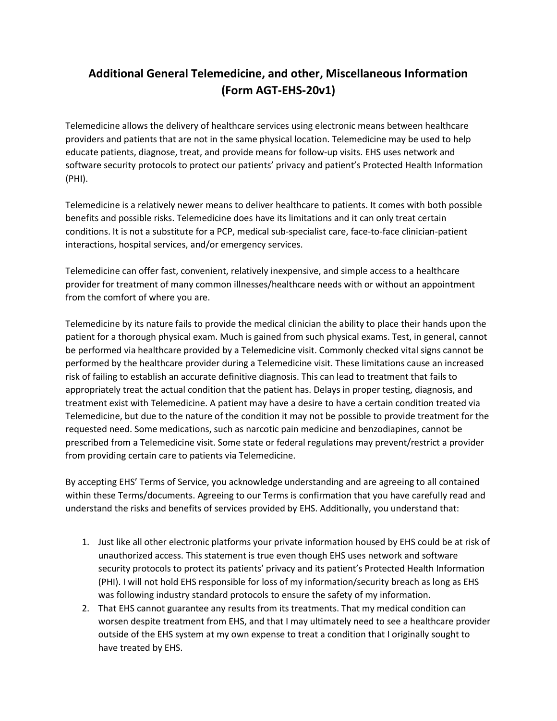# **Additional General Telemedicine, and other, Miscellaneous Information (Form AGT-EHS-20v1)**

Telemedicine allows the delivery of healthcare services using electronic means between healthcare providers and patients that are not in the same physical location. Telemedicine may be used to help educate patients, diagnose, treat, and provide means for follow-up visits. EHS uses network and software security protocols to protect our patients' privacy and patient's Protected Health Information (PHI).

Telemedicine is a relatively newer means to deliver healthcare to patients. It comes with both possible benefits and possible risks. Telemedicine does have its limitations and it can only treat certain conditions. It is not a substitute for a PCP, medical sub-specialist care, face-to-face clinician-patient interactions, hospital services, and/or emergency services.

Telemedicine can offer fast, convenient, relatively inexpensive, and simple access to a healthcare provider for treatment of many common illnesses/healthcare needs with or without an appointment from the comfort of where you are.

Telemedicine by its nature fails to provide the medical clinician the ability to place their hands upon the patient for a thorough physical exam. Much is gained from such physical exams. Test, in general, cannot be performed via healthcare provided by a Telemedicine visit. Commonly checked vital signs cannot be performed by the healthcare provider during a Telemedicine visit. These limitations cause an increased risk of failing to establish an accurate definitive diagnosis. This can lead to treatment that fails to appropriately treat the actual condition that the patient has. Delays in proper testing, diagnosis, and treatment exist with Telemedicine. A patient may have a desire to have a certain condition treated via Telemedicine, but due to the nature of the condition it may not be possible to provide treatment for the requested need. Some medications, such as narcotic pain medicine and benzodiapines, cannot be prescribed from a Telemedicine visit. Some state or federal regulations may prevent/restrict a provider from providing certain care to patients via Telemedicine.

By accepting EHS' Terms of Service, you acknowledge understanding and are agreeing to all contained within these Terms/documents. Agreeing to our Terms is confirmation that you have carefully read and understand the risks and benefits of services provided by EHS. Additionally, you understand that:

- 1. Just like all other electronic platforms your private information housed by EHS could be at risk of unauthorized access. This statement is true even though EHS uses network and software security protocols to protect its patients' privacy and its patient's Protected Health Information (PHI). I will not hold EHS responsible for loss of my information/security breach as long as EHS was following industry standard protocols to ensure the safety of my information.
- 2. That EHS cannot guarantee any results from its treatments. That my medical condition can worsen despite treatment from EHS, and that I may ultimately need to see a healthcare provider outside of the EHS system at my own expense to treat a condition that I originally sought to have treated by EHS.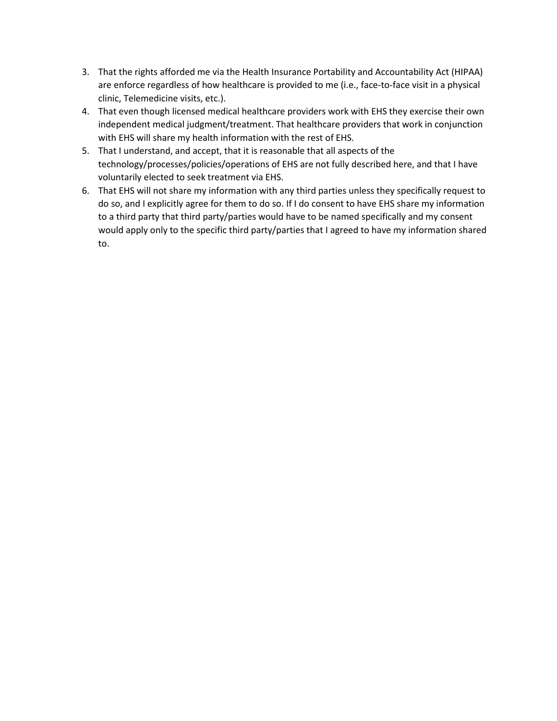- 3. That the rights afforded me via the Health Insurance Portability and Accountability Act (HIPAA) are enforce regardless of how healthcare is provided to me (i.e., face-to-face visit in a physical clinic, Telemedicine visits, etc.).
- 4. That even though licensed medical healthcare providers work with EHS they exercise their own independent medical judgment/treatment. That healthcare providers that work in conjunction with EHS will share my health information with the rest of EHS.
- 5. That I understand, and accept, that it is reasonable that all aspects of the technology/processes/policies/operations of EHS are not fully described here, and that I have voluntarily elected to seek treatment via EHS.
- 6. That EHS will not share my information with any third parties unless they specifically request to do so, and I explicitly agree for them to do so. If I do consent to have EHS share my information to a third party that third party/parties would have to be named specifically and my consent would apply only to the specific third party/parties that I agreed to have my information shared to.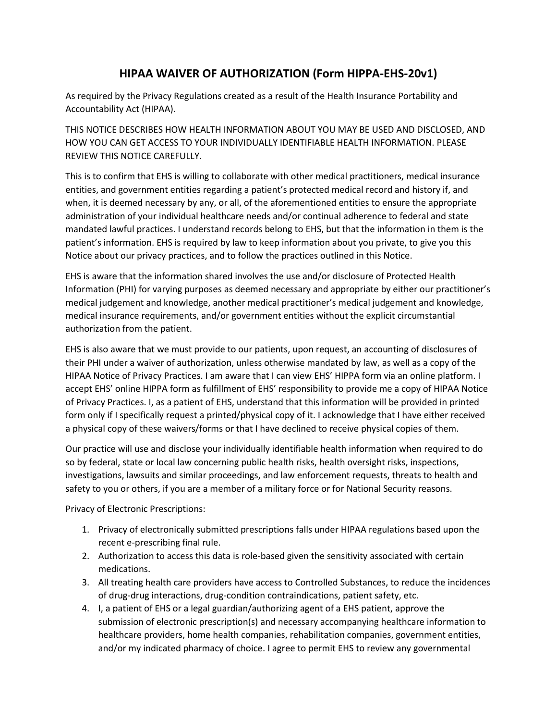# **HIPAA WAIVER OF AUTHORIZATION (Form HIPPA-EHS-20v1)**

As required by the Privacy Regulations created as a result of the Health Insurance Portability and Accountability Act (HIPAA).

THIS NOTICE DESCRIBES HOW HEALTH INFORMATION ABOUT YOU MAY BE USED AND DISCLOSED, AND HOW YOU CAN GET ACCESS TO YOUR INDIVIDUALLY IDENTIFIABLE HEALTH INFORMATION. PLEASE REVIEW THIS NOTICE CAREFULLY.

This is to confirm that EHS is willing to collaborate with other medical practitioners, medical insurance entities, and government entities regarding a patient's protected medical record and history if, and when, it is deemed necessary by any, or all, of the aforementioned entities to ensure the appropriate administration of your individual healthcare needs and/or continual adherence to federal and state mandated lawful practices. I understand records belong to EHS, but that the information in them is the patient's information. EHS is required by law to keep information about you private, to give you this Notice about our privacy practices, and to follow the practices outlined in this Notice.

EHS is aware that the information shared involves the use and/or disclosure of Protected Health Information (PHI) for varying purposes as deemed necessary and appropriate by either our practitioner's medical judgement and knowledge, another medical practitioner's medical judgement and knowledge, medical insurance requirements, and/or government entities without the explicit circumstantial authorization from the patient.

EHS is also aware that we must provide to our patients, upon request, an accounting of disclosures of their PHI under a waiver of authorization, unless otherwise mandated by law, as well as a copy of the HIPAA Notice of Privacy Practices. I am aware that I can view EHS' HIPPA form via an online platform. I accept EHS' online HIPPA form as fulfillment of EHS' responsibility to provide me a copy of HIPAA Notice of Privacy Practices. I, as a patient of EHS, understand that this information will be provided in printed form only if I specifically request a printed/physical copy of it. I acknowledge that I have either received a physical copy of these waivers/forms or that I have declined to receive physical copies of them.

Our practice will use and disclose your individually identifiable health information when required to do so by federal, state or local law concerning public health risks, health oversight risks, inspections, investigations, lawsuits and similar proceedings, and law enforcement requests, threats to health and safety to you or others, if you are a member of a military force or for National Security reasons.

Privacy of Electronic Prescriptions:

- 1. Privacy of electronically submitted prescriptions falls under HIPAA regulations based upon the recent e-prescribing final rule.
- 2. Authorization to access this data is role-based given the sensitivity associated with certain medications.
- 3. All treating health care providers have access to Controlled Substances, to reduce the incidences of drug-drug interactions, drug-condition contraindications, patient safety, etc.
- 4. I, a patient of EHS or a legal guardian/authorizing agent of a EHS patient, approve the submission of electronic prescription(s) and necessary accompanying healthcare information to healthcare providers, home health companies, rehabilitation companies, government entities, and/or my indicated pharmacy of choice. I agree to permit EHS to review any governmental